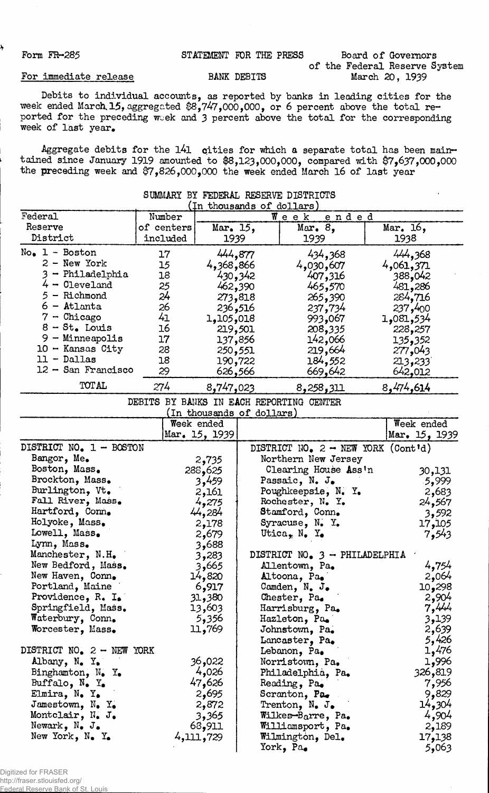## Form FR-285 STATEMENT FOR THE PRESS Board of Governors of the Federal Reserve System

## For immediate release BANK DEBITS

Ą

Debits to individual accounts, as reported by banks in leading cities for the week ended March, 15, aggregated \$8,747,000,000, or 6 percent above the total reported for the preceding week and 3 percent above the total for the corresponding week of last year.

Aggregate debits for the 141 cities for which a separate total has been maintained since January 1919 amounted to \$8,123,000,000, compared with \$7,637,000,000 the preceding week and \$7,826,000,000 the week ended March 16 of last year

|                              |                          | (In thousands of dollars) |                         |           |
|------------------------------|--------------------------|---------------------------|-------------------------|-----------|
| Federal                      | Number                   |                           | $W$ e e k<br>ended      |           |
| Reserve                      | of centers               | Mar. 15,                  | Mar. 8,                 | Mar. 16,  |
| District                     | included                 | 1939                      | 1939                    | 1938      |
| - Boston<br>$No_{\bullet}$ 1 | 17                       | 444,877                   | 434,368                 | 444,368   |
| $2 - New York$               | 15                       | 4,368,866                 | 4,030,607               | 4,061,371 |
| - Philadelphia               | 18                       | 430,342                   | 407,316                 | 388,042   |
| $4 - 0$ leveland             | 25                       | 462,390                   | 465,570                 | 481,286   |
| - Richmond                   | 24                       | 273,818                   | 265,390                 | 284,716   |
| $6 -$ Atlanta                | 26                       | 236,516                   | 237,734                 | 237,400   |
| $-$ Chicago                  | 41                       | 1,105,018                 | 993,067                 | 1,081,534 |
| $8 - St$ . Louis             | 16                       | 219,501                   | 208,335                 | 228,257   |
| $-$ Minneapolis<br>9.        | 17                       | 137,856                   | 142,066                 | 135,352   |
| 10 - Kansas City             | 28                       | 250,551                   | 219,664                 | 277,043   |
| 11 - Dallas                  | 18                       | 190,722                   | 184,552                 | 213,233   |
| 12 - San Francisco           | 29                       | 626,566                   | 669,642                 | 642,012   |
| TOT AL                       | 274                      | 8,747,023                 | 8,258,311               | 8,474,614 |
|                              | <b>DEDTEC</b><br>D ANIVO | <b>DAMIT</b>              | מונדוח ממתמס<br>ממחזממת |           |

SUMMARY BY FEDERAL RESERVE DISTRICTS

DEBITS BY BANKS IN EACH REPORTING CENTER<br>(In thousands of dollars)

|                                          | (TH MIONSSHINS OT MOTTALS) |                                             |               |
|------------------------------------------|----------------------------|---------------------------------------------|---------------|
|                                          | Week ended                 |                                             | Week ended    |
|                                          | Mar. 15, 1939              |                                             | Mar. 15, 1939 |
| DISTRICT NO. 1 - BOSTON                  |                            | DISTRICT NO. $2 - \text{NEW}$ YORK (Cont'd) |               |
| Bangor, Me.                              | 2,735                      | Northern New Jersey                         |               |
| Boston, Mass.                            | 288,625                    | Clearing House Ass'n                        | 30,131        |
| Brockton, Mass.                          | 3,459                      | Passaic, N. J.                              | 5,999         |
| Burlington, Vt.                          | 2,161                      | Poughkeepsie, N. Y.                         | 2,683         |
| Fall River, Mass.                        | 4,275                      | Rochester, N. Y.                            | 24,567        |
| Hartford, Conn.                          | 44,284                     | Stamford, Conn.                             | 3,592         |
| Holyoke, Mass.                           | 2,178                      | Syracuse, N. Y.                             | 17,105        |
| Lowell, Mass.                            | 2,679                      | Utica, $N_{\bullet}$ Y <sub>o</sub>         | 7,543         |
| Lynn, Mass.                              | 3,688                      |                                             |               |
| Manchester, N.H.                         | 3,283                      | DISTRICT NO. 3 - PHILADELPHIA               |               |
| New Bedford, Mass.                       | 3,665                      | Allentown, Pa.                              | 4,754         |
| New Haven, Conn.                         | 14,820                     | Altoona, Pa.                                | 2,064         |
| Portland, Maine                          | 6,917                      | Camden, $N_{\bullet}$ J.                    | 10,298        |
| Providence, $R_4$ $I_6$                  | 31,380                     | Chester, Pa.                                | 2,904         |
| Springfield, Mass.                       | 13,603                     | Harrisburg, Pa.                             | 7,444         |
| Waterbury, Conn.                         | 5,356                      | Hazleton, Pa.                               | 3,139         |
| Worcester, Mass.                         | 11,769                     | Johnstown, Pa.                              | 2,639         |
|                                          |                            | Lancaster, Pa.                              | 5,426         |
| DISTRICT NO. 2 - NEW YORK                |                            | Lebanon, Pa.                                | 1,476         |
| Albany, N. Y.                            | 36,022                     | Norristown, Pa.                             | 1,996         |
| Binghamton, $N_{\bullet}$ Y <sub>*</sub> | 4,026                      | Philadelphia, Pa.                           | 326,819       |
| Buffalo, $N_{\bullet}$ $Y_{\bullet}$     | 47,626                     | Reading, Pa.                                | 7,956         |
| Elmira, N. Y.                            | 2,695                      | Scranton, Pa.                               | 9,829         |
| Jamestown, N. Y.                         | 2,872                      | Trenton, $N_{\bullet}$ J.                   | 14,304        |
| Montclair, N. J.                         | 3,365                      | Wilkes-Barre, Pa.                           | 4,904         |
| Newark, $N_{\bullet}$ J.                 | 68,911                     | Williamsport, Pa.                           | 2,189         |
| New York, $N_e$ Y.                       | 4,111,729                  | Wilmington, Del.                            | 17,138        |
|                                          |                            | York, Pa.                                   | 5,063         |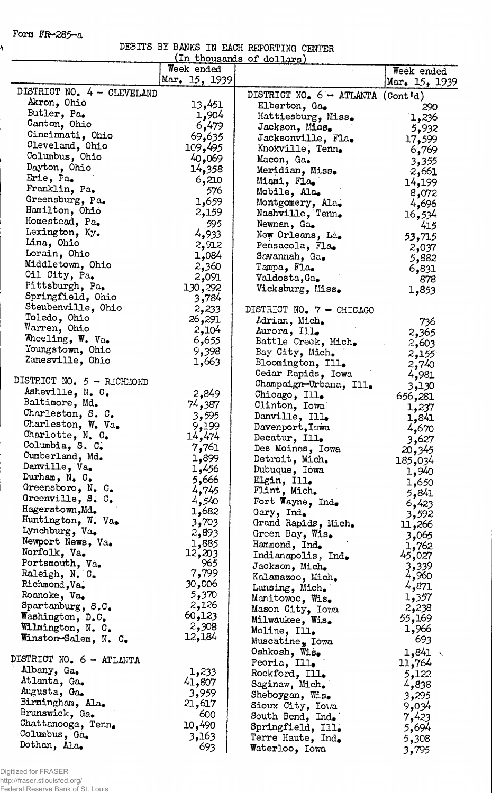Form FR-285-a

ł

Ļ,

|  |  | DEBITS BY BANKS IN EACH REPORTING CENTER |  |
|--|--|------------------------------------------|--|
|  |  | (In thousands of dollars)                |  |

|                                    | Week ended     | The chompare of actions             | Week ended     |
|------------------------------------|----------------|-------------------------------------|----------------|
|                                    | Mar. 15, 1939  |                                     | Mar. 15, 1939  |
| DISTRICT NO. 4 - CLEVELAND         |                | DISTRICT NO. $6 - ATLANTA$ (Cont'd) |                |
| Akron, Ohio                        | 13,451         | Elberton, Ga.                       | 290            |
| Butler, Pa.                        | 1,904          | Hattiesburg, Miss.                  | 1,236          |
| Canton, Ohio                       | 6,479          | Jackson, Miss.                      | 5,932          |
| Cincinnati, Ohio                   | 69,635         | Jacksonville, Fla.                  | 17,599         |
| Cleveland, Ohio                    | 109,495        | Knoxville, Tenn.                    | 6,769          |
| Columbus, Ohio                     | 40,069         | Macon, Ga.                          | 3,355          |
| Dayton, Ohio                       | 14,358         | Meridian, Miss.                     | 2,661          |
| Erie, Pa.                          | 6,210          | Miami, Fla,                         | 14,199         |
| Franklin, Pa.                      | 576            | Mobile, Ala.                        | 8,072          |
| Greensburg, Pa.                    | 1,659          | Montgomery, Ala.                    | 4,696          |
| Hamilton, Ohio                     | 2,159          | Nashville, Tenn.                    | 16,534         |
| Homestead, Pa.                     | 595            | Newnan, Ga.                         | 415            |
| Lexington, Ky.                     | 4,933          | New Orleans, La.                    | 53,715         |
| Lima, Ohio                         | 2,912          | Pensacola, Fla.                     | 2,037          |
| Lorain, Ohio                       | 1,084          | Savannah, Ga.                       | 5,882          |
| Middletown, Ohio                   | 2,360          | Tampa, Fla.                         | 6,831          |
| Oil City, Pa.                      | 2,091          | Valdosta, Ga.                       | 878            |
| Pittsburgh, Pa.                    | 130,292        | Vicksburg, Miss.                    | 1,853          |
| Springfield, Ohio                  | 3,784          |                                     |                |
| Steubenville, Ohio                 | 2,233          | DISTRICT NO. 7 - CHICAGO            |                |
| Toledo, Ohio                       | 26,291         | Adrian, Mich.                       | 736            |
| Warren, Ohio                       | 2,104          | Aurora, Ill.                        | 2,365          |
| Wheeling, W. Va.                   | 6,655          | Battle Creek, Mich.                 | 2,603          |
| Youngstown, Ohio                   | 9,398          | Bay City, Mich.                     | 2,155          |
| Zanesville, Ohio                   | 1,663          | Bloomington, Ill.                   | 2,740          |
| DISTRICT NO. 5 - RICHMOND          |                | Cedar Rapids, Iowa                  | 4,981          |
|                                    |                | Champaign-Urbana, Ill.              | 3,130          |
| Asheville, N. C.<br>Baltimore, Md. | 2,849          | Chicago, Ill.                       | 656,281        |
| Charleston, S. C.                  | 74,387         | Clinton, Iowa                       | 1,237          |
| Charleston, W. Va.                 | 3,595          | Danville, Ill.                      | 1,841          |
| Charlotte, N. C.                   | 9,199          | Davenport, Iowa                     | 4,670          |
| Columbia, S. C.                    | 14,474         | Decatur, Ill.                       | 3,627          |
| Cumberland, Md.                    | 7,761          | Des Moines, Iowa                    | 20,345         |
| Danville, Va.                      | 1,899<br>1,456 | Detroit, Mich.                      | 185,034        |
| Durham, $N_e$ $C_e$                | 5,666          | Dubuque, Iowa                       | 1,940          |
| Greensboro, N. C.                  | 4,745          | Elgin, Ill.                         | 1,650          |
| Greenville, S. C.                  | 4,540          | Flint, Mich.                        | 5,841          |
| Hagerstown, Md.                    | 1,682          | Fort Wayne, Ind.<br>Gary, Ind.      | 6,423          |
| Huntington, W. Va.                 | 3,703          | Grand Rapids, Mich.                 | 3,592          |
| Lynchburg, Va.                     | 2,893          | Green Bay, Wis.                     | 11,266         |
| Newport News, Va.                  | 1,885          | Hammond, Ind.                       | 3,065<br>1,762 |
| Norfolk, Va.                       | 12,203         | Indianapolis, Ind.                  | 45,027         |
| Portsmouth, Va.                    | 965            | Jackson, Mich.                      |                |
| Raleigh, N. C.                     | 7,799          | Kalamazoo, Mich.                    | 3,339<br>4,960 |
| Richmond, Va.                      | 30,006         | Lansing, Mich.                      | 4,871          |
| Roanoke, Va.                       | 5,370          | Manitowoc, Wis.                     | 1,357          |
| Spartanburg, S.C.                  | 2,126          | Mason City, Iowa                    | 2,238          |
| Washington, D.C.                   | 60,123         | Milwaukee, Wis.                     | 55,169         |
| Wilmington, N. C.                  | 2,308          | Moline, Ill.                        | 1,966          |
| Winston-Salem, N. C.               | 12,184         | Muscatine, Iowa                     | 693            |
|                                    |                | Oshkosh, Wis.                       | 1,841<br>λ.,   |
| DISTRICT NO. 6 - ATLANTA           |                | Peoria, Ill.                        | 11,764         |
| Albany, Ga.                        | 1,233          | Rockford, Ill.                      | 5,122          |
| Atlanta, Ga.                       | 41,807         | Saginaw, Mich.                      | 4,838          |
| Augusta, Ga.                       | 3,959          | Sheboygan, Wis.                     | 3,295          |
| Birmingham, Ala.                   | 21,617         | Sioux City, Iowa                    | 9,034          |
| Brunswick, Ga.                     | 600            | South Bend, Ind.                    | 7,423          |
| Chattanooga, Tenn.                 | 10,490         | Springfield, Ill.                   | 5,694          |
| Columbus, Ga.                      | 3,163          | Terre Haute, Ind.                   | 5,308          |
| Dothan, Ala.                       | 693            | Waterloo, Iowa                      | 3,795          |

Digitized for FRASER http://fraser.stlouisfed.org/ Federal Reserve Bank of St. Louis